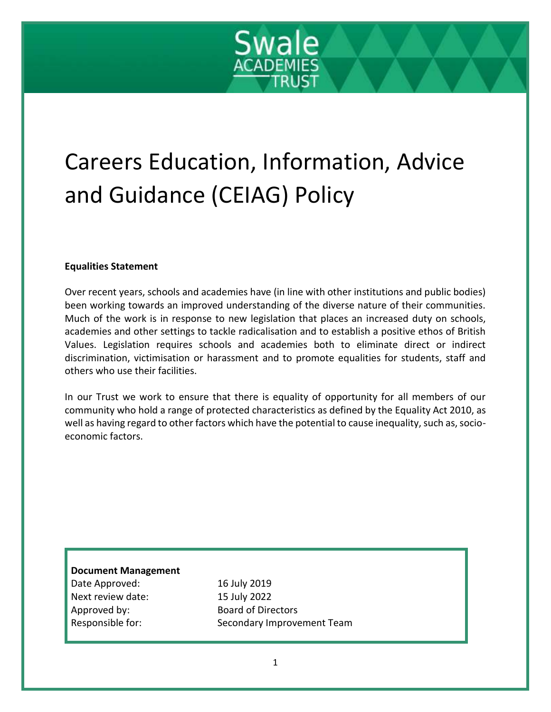# Swale **ACADEMIES**

# Careers Education, Information, Advice and Guidance (CEIAG) Policy

# **Equalities Statement**

Over recent years, schools and academies have (in line with other institutions and public bodies) been working towards an improved understanding of the diverse nature of their communities. Much of the work is in response to new legislation that places an increased duty on schools, academies and other settings to tackle radicalisation and to establish a positive ethos of British Values. Legislation requires schools and academies both to eliminate direct or indirect discrimination, victimisation or harassment and to promote equalities for students, staff and others who use their facilities.

In our Trust we work to ensure that there is equality of opportunity for all members of our community who hold a range of protected characteristics as defined by the Equality Act 2010, as well as having regard to other factors which have the potential to cause inequality, such as, socioeconomic factors.

# **Document Management**

16 July 2019 15 July 2022 Board of Directors Secondary Improvement Team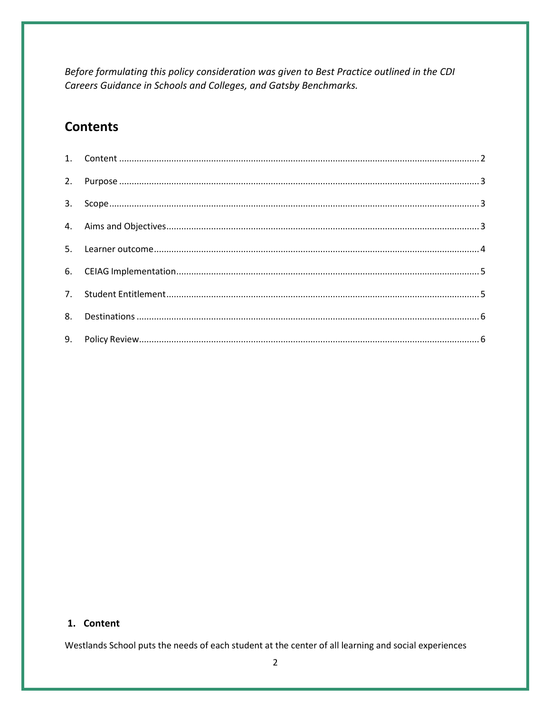Before formulating this policy consideration was given to Best Practice outlined in the CDI Careers Guidance in Schools and Colleges, and Gatsby Benchmarks.

# **Contents**

### <span id="page-1-0"></span>1. Content

Westlands School puts the needs of each student at the center of all learning and social experiences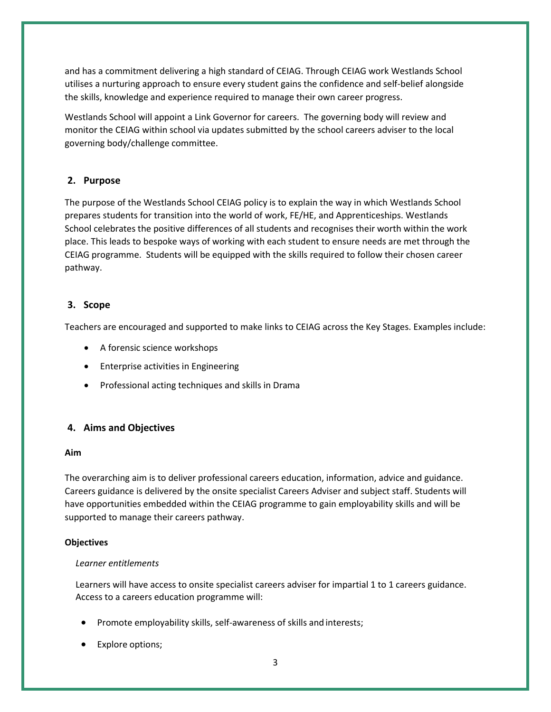and has a commitment delivering a high standard of CEIAG. Through CEIAG work Westlands School utilises a nurturing approach to ensure every student gains the confidence and self-belief alongside the skills, knowledge and experience required to manage their own career progress.

Westlands School will appoint a Link Governor for careers. The governing body will review and monitor the CEIAG within school via updates submitted by the school careers adviser to the local governing body/challenge committee.

# <span id="page-2-0"></span>**2. Purpose**

The purpose of the Westlands School CEIAG policy is to explain the way in which Westlands School prepares students for transition into the world of work, FE/HE, and Apprenticeships. Westlands School celebrates the positive differences of all students and recognises their worth within the work place. This leads to bespoke ways of working with each student to ensure needs are met through the CEIAG programme. Students will be equipped with the skills required to follow their chosen career pathway.

## <span id="page-2-1"></span>**3. Scope**

Teachers are encouraged and supported to make links to CEIAG across the Key Stages. Examples include:

- A forensic science workshops
- Enterprise activities in Engineering
- Professional acting techniques and skills in Drama

## <span id="page-2-2"></span>**4. Aims and Objectives**

#### **Aim**

The overarching aim is to deliver professional careers education, information, advice and guidance. Careers guidance is delivered by the onsite specialist Careers Adviser and subject staff. Students will have opportunities embedded within the CEIAG programme to gain employability skills and will be supported to manage their careers pathway.

#### **Objectives**

#### *Learner entitlements*

Learners will have access to onsite specialist careers adviser for impartial 1 to 1 careers guidance. Access to a careers education programme will:

- Promote employability skills, self-awareness of skills and interests;
- Explore options;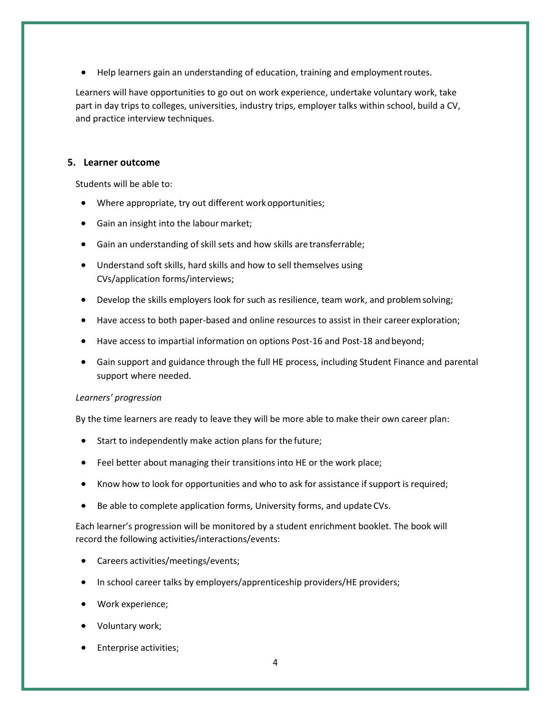Help learners gain an understanding of education, training and employment routes.

Learners will have opportunities to go out on work experience, undertake voluntary work, take part in day trips to colleges, universities, industry trips, employer talks within school, build a CV, and practice interview techniques.

#### <span id="page-3-0"></span>**5. Learner outcome**

Students will be able to:

- Where appropriate, try out different workopportunities;
- Gain an insight into the labour market;
- Gain an understanding of skill sets and how skills are transferrable;
- Understand soft skills, hard skills and how to sell themselves using CVs/application forms/interviews;
- Develop the skills employers look for such as resilience, team work, and problemsolving;
- Have access to both paper-based and online resources to assist in their career exploration;
- Have access to impartial information on options Post-16 and Post-18 and beyond;
- Gain support and guidance through the full HE process, including Student Finance and parental support where needed.

#### *Learners' progression*

By the time learners are ready to leave they will be more able to make their own career plan:

- Start to independently make action plans for the future;
- Feel better about managing their transitions into HE or the work place;
- Know how to look for opportunities and who to ask for assistance if support is required;
- Be able to complete application forms, University forms, and update CVs.

Each learner's progression will be monitored by a student enrichment booklet. The book will record the following activities/interactions/events:

- Careers activities/meetings/events;
- In school career talks by employers/apprenticeship providers/HE providers;
- Work experience;
- Voluntary work;
- Enterprise activities;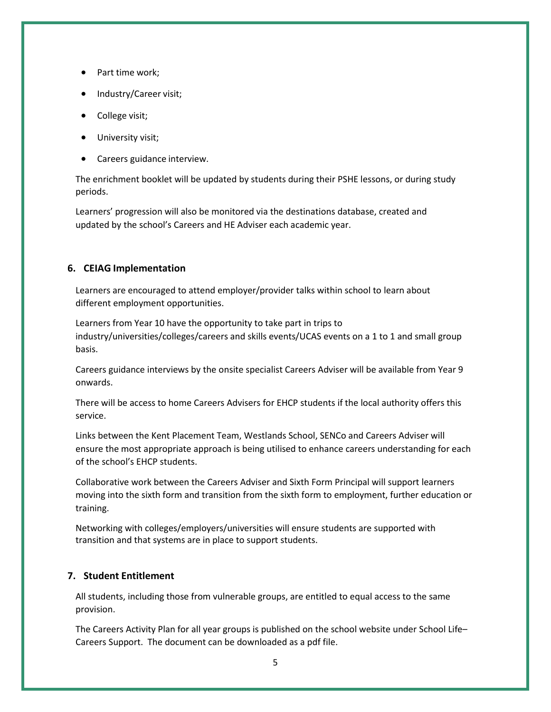- Part time work;
- Industry/Career visit;
- College visit;
- University visit;
- Careers guidance interview.

The enrichment booklet will be updated by students during their PSHE lessons, or during study periods.

Learners' progression will also be monitored via the destinations database, created and updated by the school's Careers and HE Adviser each academic year.

#### <span id="page-4-0"></span>**6. CEIAG Implementation**

Learners are encouraged to attend employer/provider talks within school to learn about different employment opportunities.

Learners from Year 10 have the opportunity to take part in trips to industry/universities/colleges/careers and skills events/UCAS events on a 1 to 1 and small group basis.

Careers guidance interviews by the onsite specialist Careers Adviser will be available from Year 9 onwards.

There will be access to home Careers Advisers for EHCP students if the local authority offers this service.

Links between the Kent Placement Team, Westlands School, SENCo and Careers Adviser will ensure the most appropriate approach is being utilised to enhance careers understanding for each of the school's EHCP students.

Collaborative work between the Careers Adviser and Sixth Form Principal will support learners moving into the sixth form and transition from the sixth form to employment, further education or training.

Networking with colleges/employers/universities will ensure students are supported with transition and that systems are in place to support students.

#### <span id="page-4-1"></span>**7. Student Entitlement**

All students, including those from vulnerable groups, are entitled to equal access to the same provision.

The Careers Activity Plan for all year groups is published on the school website under School Life– Careers Support. The document can be downloaded as a pdf file.